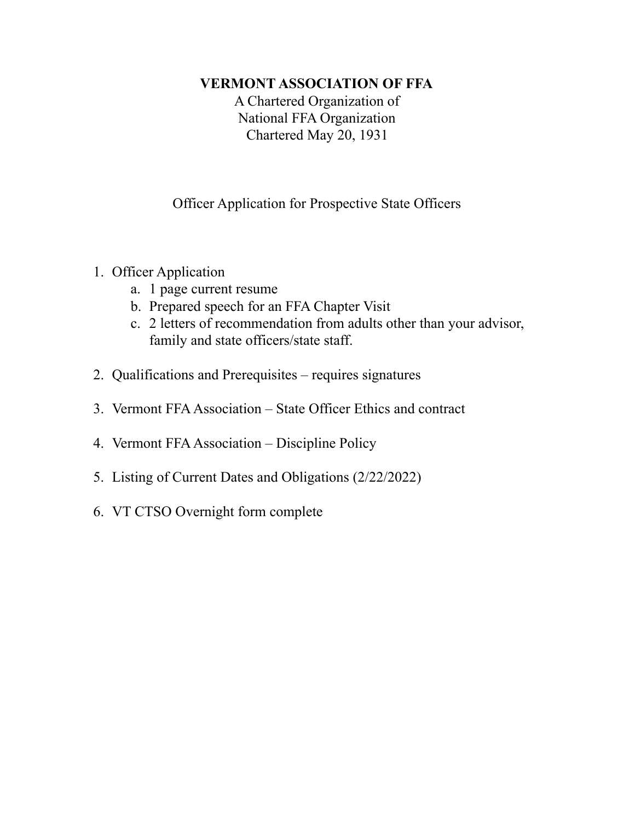### **VERMONT ASSOCIATION OF FFA**

A Chartered Organization of National FFA Organization Chartered May 20, 1931

Officer Application for Prospective State Officers

- 1. Officer Application
	- a. 1 page current resume
	- b. Prepared speech for an FFA Chapter Visit
	- c. 2 letters of recommendation from adults other than your advisor, family and state officers/state staff.
- 2. Qualifications and Prerequisites requires signatures
- 3. Vermont FFAAssociation State Officer Ethics and contract
- 4. Vermont FFAAssociation Discipline Policy
- 5. Listing of Current Dates and Obligations (2/22/2022)
- 6. VT CTSO Overnight form complete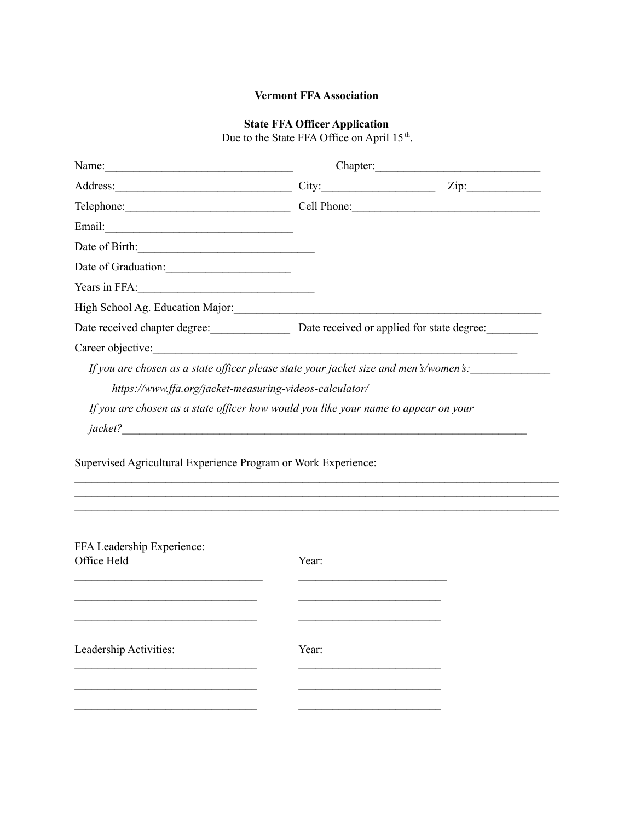### **Vermont FFAAssociation**

### **State FFA Officer Application**

Due to the State FFA Office on April 15<sup>th</sup>.

|                                                                | Chapter:                                                                              |
|----------------------------------------------------------------|---------------------------------------------------------------------------------------|
|                                                                | Address: Zip: Zip:                                                                    |
|                                                                | Cell Phone: 2008                                                                      |
|                                                                |                                                                                       |
|                                                                |                                                                                       |
| Date of Graduation:                                            |                                                                                       |
| Years in FFA: $\qquad \qquad$                                  |                                                                                       |
|                                                                |                                                                                       |
|                                                                | Date received chapter degree: Date received or applied for state degree:              |
| Career objective:                                              | <u> 1980 - Johann Barnett, fransk politiker (d. 1980)</u>                             |
|                                                                | If you are chosen as a state officer please state your jacket size and men's/women's: |
| https://www.ffa.org/jacket-measuring-videos-calculator/        |                                                                                       |
|                                                                | If you are chosen as a state officer how would you like your name to appear on your   |
|                                                                |                                                                                       |
| Supervised Agricultural Experience Program or Work Experience: |                                                                                       |
| FFA Leadership Experience:<br>Office Held                      | Year:                                                                                 |
|                                                                |                                                                                       |

 $\mathcal{L}_\text{max}$  and the contract of the contract of the contract of the contract of the contract of the contract of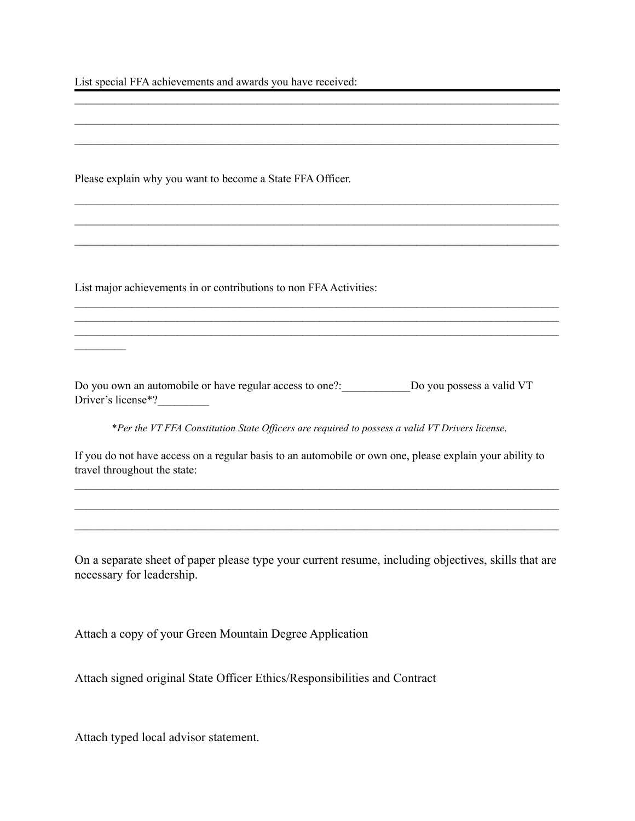List special FFA achievements and awards you have received:

Please explain why you want to become a State FFA Officer.

List major achievements in or contributions to non FFA Activities:

 $\mathcal{L}_\text{max}$ 

Do you own an automobile or have regular access to one?: \_\_\_\_\_\_\_\_\_\_\_\_\_\_\_\_\_\_\_Do you possess a valid VT Driver's license\*?

 $\mathcal{L}_\text{max} = \mathcal{L}_\text{max} = \mathcal{L}_\text{max} = \mathcal{L}_\text{max} = \mathcal{L}_\text{max} = \mathcal{L}_\text{max} = \mathcal{L}_\text{max} = \mathcal{L}_\text{max} = \mathcal{L}_\text{max} = \mathcal{L}_\text{max} = \mathcal{L}_\text{max} = \mathcal{L}_\text{max} = \mathcal{L}_\text{max} = \mathcal{L}_\text{max} = \mathcal{L}_\text{max} = \mathcal{L}_\text{max} = \mathcal{L}_\text{max} = \mathcal{L}_\text{max} = \mathcal{$  $\mathcal{L}_\text{max} = \mathcal{L}_\text{max} = \mathcal{L}_\text{max} = \mathcal{L}_\text{max} = \mathcal{L}_\text{max} = \mathcal{L}_\text{max} = \mathcal{L}_\text{max} = \mathcal{L}_\text{max} = \mathcal{L}_\text{max} = \mathcal{L}_\text{max} = \mathcal{L}_\text{max} = \mathcal{L}_\text{max} = \mathcal{L}_\text{max} = \mathcal{L}_\text{max} = \mathcal{L}_\text{max} = \mathcal{L}_\text{max} = \mathcal{L}_\text{max} = \mathcal{L}_\text{max} = \mathcal{$  $\mathcal{L}_\text{max} = \mathcal{L}_\text{max} = \mathcal{L}_\text{max} = \mathcal{L}_\text{max} = \mathcal{L}_\text{max} = \mathcal{L}_\text{max} = \mathcal{L}_\text{max} = \mathcal{L}_\text{max} = \mathcal{L}_\text{max} = \mathcal{L}_\text{max} = \mathcal{L}_\text{max} = \mathcal{L}_\text{max} = \mathcal{L}_\text{max} = \mathcal{L}_\text{max} = \mathcal{L}_\text{max} = \mathcal{L}_\text{max} = \mathcal{L}_\text{max} = \mathcal{L}_\text{max} = \mathcal{$ 

 $\mathcal{L}_\text{max} = \mathcal{L}_\text{max} = \mathcal{L}_\text{max} = \mathcal{L}_\text{max} = \mathcal{L}_\text{max} = \mathcal{L}_\text{max} = \mathcal{L}_\text{max} = \mathcal{L}_\text{max} = \mathcal{L}_\text{max} = \mathcal{L}_\text{max} = \mathcal{L}_\text{max} = \mathcal{L}_\text{max} = \mathcal{L}_\text{max} = \mathcal{L}_\text{max} = \mathcal{L}_\text{max} = \mathcal{L}_\text{max} = \mathcal{L}_\text{max} = \mathcal{L}_\text{max} = \mathcal{$  $\mathcal{L}_\text{max} = \mathcal{L}_\text{max} = \mathcal{L}_\text{max} = \mathcal{L}_\text{max} = \mathcal{L}_\text{max} = \mathcal{L}_\text{max} = \mathcal{L}_\text{max} = \mathcal{L}_\text{max} = \mathcal{L}_\text{max} = \mathcal{L}_\text{max} = \mathcal{L}_\text{max} = \mathcal{L}_\text{max} = \mathcal{L}_\text{max} = \mathcal{L}_\text{max} = \mathcal{L}_\text{max} = \mathcal{L}_\text{max} = \mathcal{L}_\text{max} = \mathcal{L}_\text{max} = \mathcal{$  $\mathcal{L}_\text{max} = \mathcal{L}_\text{max} = \mathcal{L}_\text{max} = \mathcal{L}_\text{max} = \mathcal{L}_\text{max} = \mathcal{L}_\text{max} = \mathcal{L}_\text{max} = \mathcal{L}_\text{max} = \mathcal{L}_\text{max} = \mathcal{L}_\text{max} = \mathcal{L}_\text{max} = \mathcal{L}_\text{max} = \mathcal{L}_\text{max} = \mathcal{L}_\text{max} = \mathcal{L}_\text{max} = \mathcal{L}_\text{max} = \mathcal{L}_\text{max} = \mathcal{L}_\text{max} = \mathcal{$ 

 $\mathcal{L}_\text{max} = \mathcal{L}_\text{max} = \mathcal{L}_\text{max} = \mathcal{L}_\text{max} = \mathcal{L}_\text{max} = \mathcal{L}_\text{max} = \mathcal{L}_\text{max} = \mathcal{L}_\text{max} = \mathcal{L}_\text{max} = \mathcal{L}_\text{max} = \mathcal{L}_\text{max} = \mathcal{L}_\text{max} = \mathcal{L}_\text{max} = \mathcal{L}_\text{max} = \mathcal{L}_\text{max} = \mathcal{L}_\text{max} = \mathcal{L}_\text{max} = \mathcal{L}_\text{max} = \mathcal{$ 

 $\mathcal{L}_\text{max} = \mathcal{L}_\text{max} = \mathcal{L}_\text{max} = \mathcal{L}_\text{max} = \mathcal{L}_\text{max} = \mathcal{L}_\text{max} = \mathcal{L}_\text{max} = \mathcal{L}_\text{max} = \mathcal{L}_\text{max} = \mathcal{L}_\text{max} = \mathcal{L}_\text{max} = \mathcal{L}_\text{max} = \mathcal{L}_\text{max} = \mathcal{L}_\text{max} = \mathcal{L}_\text{max} = \mathcal{L}_\text{max} = \mathcal{L}_\text{max} = \mathcal{L}_\text{max} = \mathcal{$ 

\**Per the VT FFA Constitution State Of icers are required to possess a valid VT Drivers license.*

If you do not have access on a regular basis to an automobile or own one, please explain your ability to travel throughout the state:

 $\mathcal{L}_\text{max} = \mathcal{L}_\text{max} = \mathcal{L}_\text{max} = \mathcal{L}_\text{max} = \mathcal{L}_\text{max} = \mathcal{L}_\text{max} = \mathcal{L}_\text{max} = \mathcal{L}_\text{max} = \mathcal{L}_\text{max} = \mathcal{L}_\text{max} = \mathcal{L}_\text{max} = \mathcal{L}_\text{max} = \mathcal{L}_\text{max} = \mathcal{L}_\text{max} = \mathcal{L}_\text{max} = \mathcal{L}_\text{max} = \mathcal{L}_\text{max} = \mathcal{L}_\text{max} = \mathcal{$  $\mathcal{L}_\text{max} = \mathcal{L}_\text{max} = \mathcal{L}_\text{max} = \mathcal{L}_\text{max} = \mathcal{L}_\text{max} = \mathcal{L}_\text{max} = \mathcal{L}_\text{max} = \mathcal{L}_\text{max} = \mathcal{L}_\text{max} = \mathcal{L}_\text{max} = \mathcal{L}_\text{max} = \mathcal{L}_\text{max} = \mathcal{L}_\text{max} = \mathcal{L}_\text{max} = \mathcal{L}_\text{max} = \mathcal{L}_\text{max} = \mathcal{L}_\text{max} = \mathcal{L}_\text{max} = \mathcal{$  $\mathcal{L}_\text{max} = \mathcal{L}_\text{max} = \mathcal{L}_\text{max} = \mathcal{L}_\text{max} = \mathcal{L}_\text{max} = \mathcal{L}_\text{max} = \mathcal{L}_\text{max} = \mathcal{L}_\text{max} = \mathcal{L}_\text{max} = \mathcal{L}_\text{max} = \mathcal{L}_\text{max} = \mathcal{L}_\text{max} = \mathcal{L}_\text{max} = \mathcal{L}_\text{max} = \mathcal{L}_\text{max} = \mathcal{L}_\text{max} = \mathcal{L}_\text{max} = \mathcal{L}_\text{max} = \mathcal{$ 

On a separate sheet of paper please type your current resume, including objectives, skills that are necessary for leadership.

Attach a copy of your Green Mountain Degree Application

Attach signed original State Officer Ethics/Responsibilities and Contract

Attach typed local advisor statement.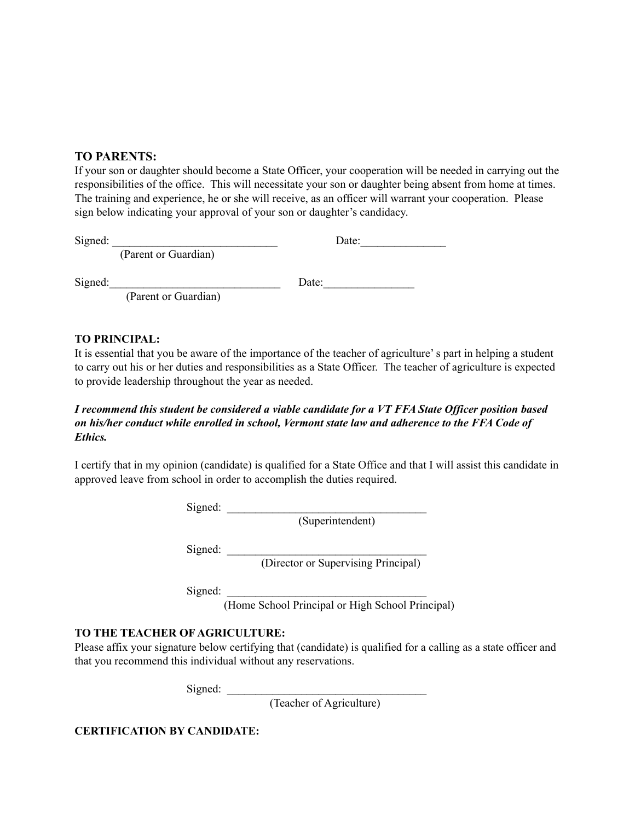### **TO PARENTS:**

If your son or daughter should become a State Officer, your cooperation will be needed in carrying out the responsibilities of the office. This will necessitate your son or daughter being absent from home at times. The training and experience, he or she will receive, as an officer will warrant your cooperation. Please sign below indicating your approval of your son or daughter's candidacy.

Signed:  $\Box$ 

(Parent or Guardian)

Signed:\_\_\_\_\_\_\_\_\_\_\_\_\_\_\_\_\_\_\_\_\_\_\_\_\_\_\_\_\_\_ Date:\_\_\_\_\_\_\_\_\_\_\_\_\_\_\_\_

(Parent or Guardian)

### **TO PRINCIPAL:**

It is essential that you be aware of the importance of the teacher of agriculture's part in helping a student to carry out his or her duties and responsibilities as a State Officer. The teacher of agriculture is expected to provide leadership throughout the year as needed.

#### I recommend this student be considered a viable candidate for a VT FFA State Officer position based *on his/her conduct while enrolled in school, Vermont state law and adherence to the FFA Code of Ethics.*

I certify that in my opinion (candidate) is qualified for a State Office and that I will assist this candidate in approved leave from school in order to accomplish the duties required.

 $Signed:$ 

(Superintendent)

 $Signed:$ 

(Director or Supervising Principal)

 $Signed:$ 

(Home School Principal or High School Principal)

### **TO THE TEACHER OF AGRICULTURE:**

Please affix your signature below certifying that (candidate) is qualified for a calling as a state officer and that you recommend this individual without any reservations.

 $Signed:$ 

(Teacher of Agriculture)

**CERTIFICATION BY CANDIDATE:**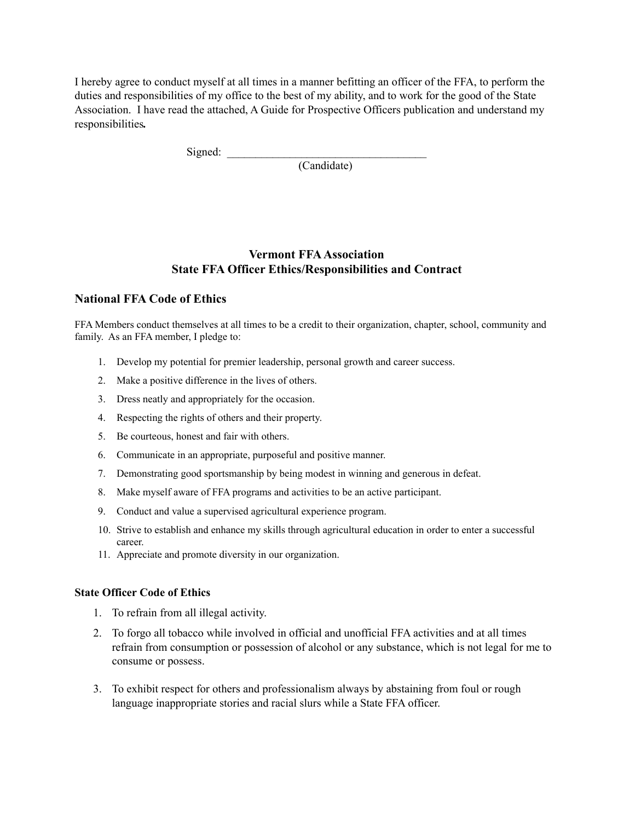I hereby agree to conduct myself at all times in a manner befitting an officer of the FFA, to perform the duties and responsibilities of my office to the best of my ability, and to work for the good of the State Association. I have read the attached, A Guide for Prospective Officers publication and understand my responsibilities*.*

Signed:

(Candidate)

### **Vermont FFAAssociation State FFA Officer Ethics/Responsibilities and Contract**

### **National FFA Code of Ethics**

FFA Members conduct themselves at all times to be a credit to their organization, chapter, school, community and family. As an FFA member, I pledge to:

- 1. Develop my potential for premier leadership, personal growth and career success.
- 2. Make a positive difference in the lives of others.
- 3. Dress neatly and appropriately for the occasion.
- 4. Respecting the rights of others and their property.
- 5. Be courteous, honest and fair with others.
- 6. Communicate in an appropriate, purposeful and positive manner.
- 7. Demonstrating good sportsmanship by being modest in winning and generous in defeat.
- 8. Make myself aware of FFA programs and activities to be an active participant.
- 9. Conduct and value a supervised agricultural experience program.
- 10. Strive to establish and enhance my skills through agricultural education in order to enter a successful career.
- 11. Appreciate and promote diversity in our organization.

#### **State Officer Code of Ethics**

- 1. To refrain from all illegal activity.
- 2. To forgo all tobacco while involved in official and unofficial FFA activities and at all times refrain from consumption or possession of alcohol or any substance, which is not legal for me to consume or possess.
- 3. To exhibit respect for others and professionalism always by abstaining from foul or rough language inappropriate stories and racial slurs while a State FFA officer.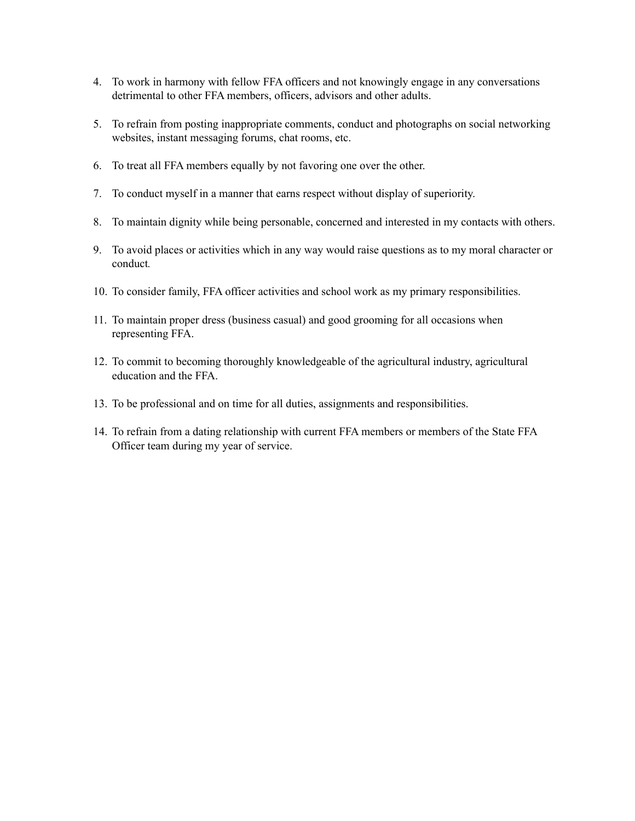- 4. To work in harmony with fellow FFA officers and not knowingly engage in any conversations detrimental to other FFA members, officers, advisors and other adults.
- 5. To refrain from posting inappropriate comments, conduct and photographs on social networking websites, instant messaging forums, chat rooms, etc.
- 6. To treat all FFA members equally by not favoring one over the other.
- 7. To conduct myself in a manner that earns respect without display of superiority.
- 8. To maintain dignity while being personable, concerned and interested in my contacts with others.
- 9. To avoid places or activities which in any way would raise questions as to my moral character or conduct*.*
- 10. To consider family, FFA officer activities and school work as my primary responsibilities.
- 11. To maintain proper dress (business casual) and good grooming for all occasions when representing FFA.
- 12. To commit to becoming thoroughly knowledgeable of the agricultural industry, agricultural education and the FFA.
- 13. To be professional and on time for all duties, assignments and responsibilities.
- 14. To refrain from a dating relationship with current FFA members or members of the State FFA Officer team during my year of service.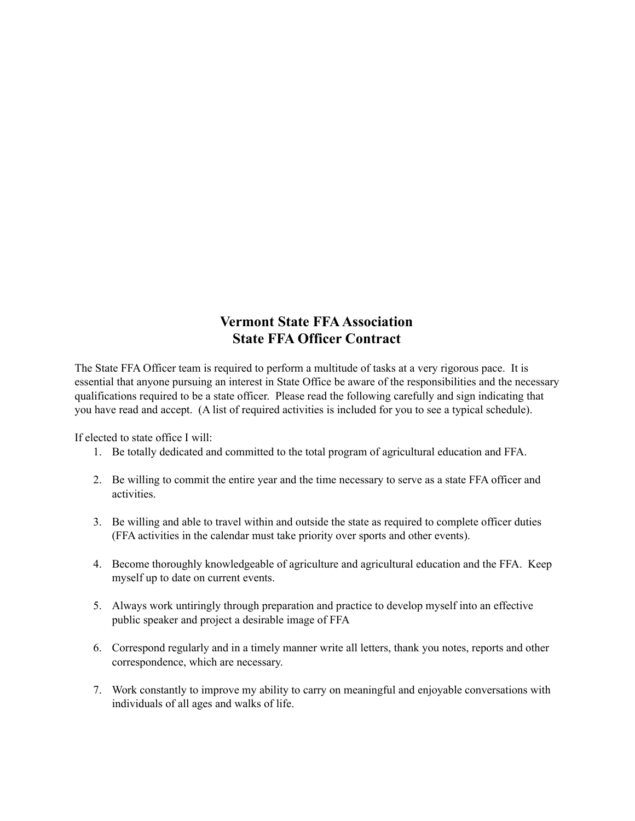# **Vermont State FFA Association State FFA Officer Contract**

The State FFA Officer team is required to perform a multitude of tasks at a very rigorous pace. It is essential that anyone pursuing an interest in State Office be aware of the responsibilities and the necessary qualifications required to be a state officer. Please read the following carefully and sign indicating that you have read and accept. (A list of required activities is included for you to see a typical schedule).

If elected to state office I will:

- 1. Be totally dedicated and committed to the total program of agricultural education and FFA.
- 2. Be willing to commit the entire year and the time necessary to serve as a state FFA officer and activities.
- 3. Be willing and able to travel within and outside the state as required to complete officer duties (FFA activities in the calendar must take priority over sports and other events).
- 4. Become thoroughly knowledgeable of agriculture and agricultural education and the FFA. Keep myself up to date on current events.
- 5. Always work untiringly through preparation and practice to develop myself into an effective public speaker and project a desirable image of FFA
- 6. Correspond regularly and in a timely manner write all letters, thank you notes, reports and other correspondence, which are necessary.
- 7. Work constantly to improve my ability to carry on meaningful and enjoyable conversations with individuals of all ages and walks of life.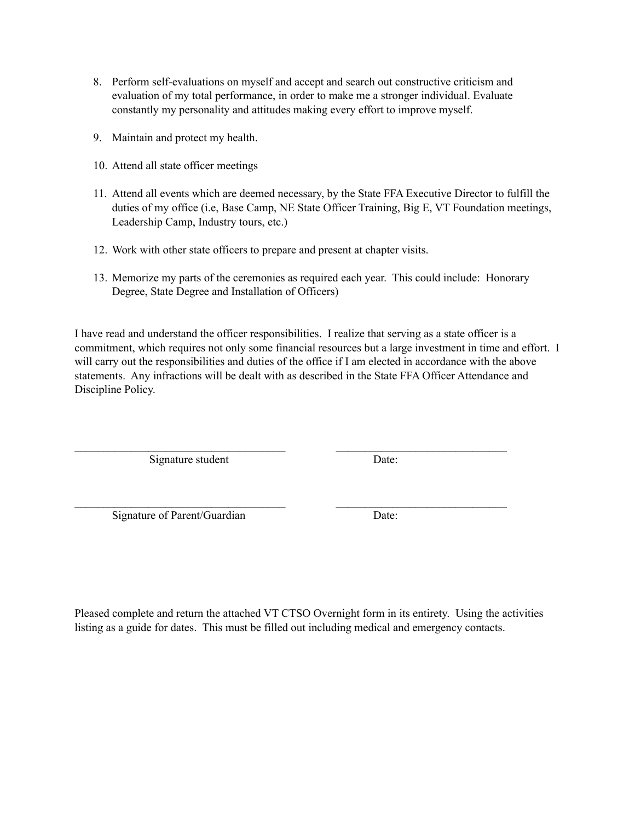- 8. Perform self-evaluations on myself and accept and search out constructive criticism and evaluation of my total performance, in order to make me a stronger individual. Evaluate constantly my personality and attitudes making every effort to improve myself.
- 9. Maintain and protect my health.
- 10. Attend all state officer meetings
- 11. Attend all events which are deemed necessary, by the State FFA Executive Director to fulfill the duties of my office (i.e, Base Camp, NE State Officer Training, Big E, VT Foundation meetings, Leadership Camp, Industry tours, etc.)
- 12. Work with other state officers to prepare and present at chapter visits.
- 13. Memorize my parts of the ceremonies as required each year. This could include: Honorary Degree, State Degree and Installation of Officers)

I have read and understand the officer responsibilities. I realize that serving as a state officer is a commitment, which requires not only some financial resources but a large investment in time and effort. I will carry out the responsibilities and duties of the office if I am elected in accordance with the above statements. Any infractions will be dealt with as described in the State FFA Officer Attendance and Discipline Policy.

 $\mathcal{L}_\text{max} = \mathcal{L}_\text{max} = \mathcal{L}_\text{max} = \mathcal{L}_\text{max} = \mathcal{L}_\text{max} = \mathcal{L}_\text{max} = \mathcal{L}_\text{max} = \mathcal{L}_\text{max} = \mathcal{L}_\text{max} = \mathcal{L}_\text{max} = \mathcal{L}_\text{max} = \mathcal{L}_\text{max} = \mathcal{L}_\text{max} = \mathcal{L}_\text{max} = \mathcal{L}_\text{max} = \mathcal{L}_\text{max} = \mathcal{L}_\text{max} = \mathcal{L}_\text{max} = \mathcal{$ 

 $\mathcal{L}_\text{max} = \mathcal{L}_\text{max} = \mathcal{L}_\text{max} = \mathcal{L}_\text{max} = \mathcal{L}_\text{max} = \mathcal{L}_\text{max} = \mathcal{L}_\text{max} = \mathcal{L}_\text{max} = \mathcal{L}_\text{max} = \mathcal{L}_\text{max} = \mathcal{L}_\text{max} = \mathcal{L}_\text{max} = \mathcal{L}_\text{max} = \mathcal{L}_\text{max} = \mathcal{L}_\text{max} = \mathcal{L}_\text{max} = \mathcal{L}_\text{max} = \mathcal{L}_\text{max} = \mathcal{$ 

Signature student Date:

Signature of Parent/Guardian Date:

Pleased complete and return the attached VT CTSO Overnight form in its entirety. Using the activities listing as a guide for dates. This must be filled out including medical and emergency contacts.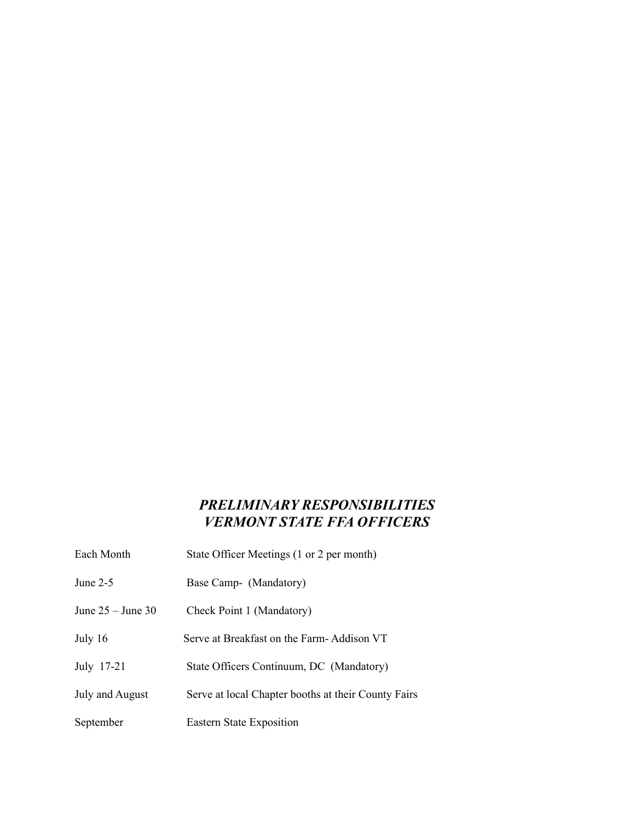# *PRELIMINARY RESPONSIBILITIES VERMONT STATE FFA OFFICERS*

| Each Month        | State Officer Meetings (1 or 2 per month)           |
|-------------------|-----------------------------------------------------|
| June 2-5          | Base Camp- (Mandatory)                              |
| June 25 – June 30 | Check Point 1 (Mandatory)                           |
| July 16           | Serve at Breakfast on the Farm-Addison VT           |
| July 17-21        | State Officers Continuum, DC (Mandatory)            |
| July and August   | Serve at local Chapter booths at their County Fairs |
| September         | Eastern State Exposition                            |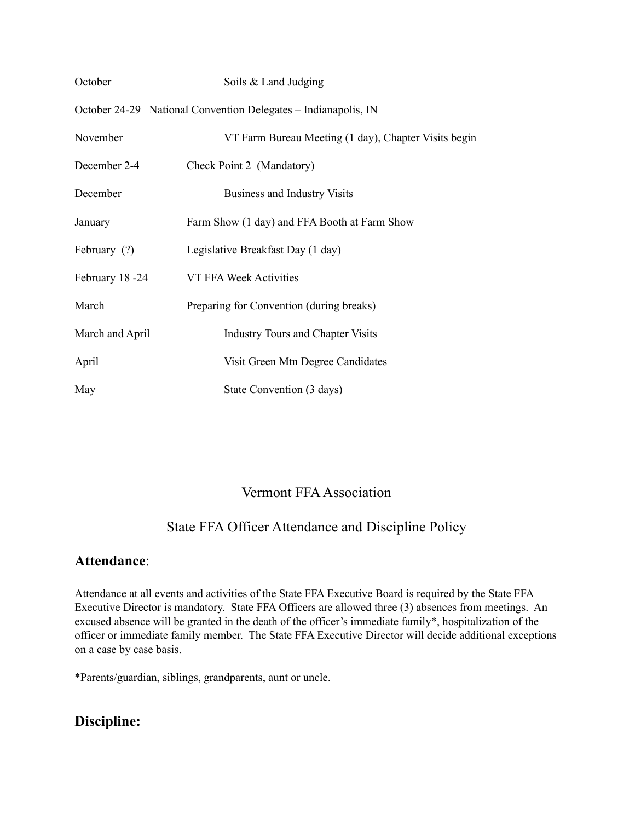| October         | Soils & Land Judging                                           |
|-----------------|----------------------------------------------------------------|
|                 | October 24-29 National Convention Delegates – Indianapolis, IN |
| November        | VT Farm Bureau Meeting (1 day), Chapter Visits begin           |
| December 2-4    | Check Point 2 (Mandatory)                                      |
| December        | <b>Business and Industry Visits</b>                            |
| January         | Farm Show (1 day) and FFA Booth at Farm Show                   |
| February (?)    | Legislative Breakfast Day (1 day)                              |
| February 18-24  | VT FFA Week Activities                                         |
| March           | Preparing for Convention (during breaks)                       |
| March and April | <b>Industry Tours and Chapter Visits</b>                       |
| April           | Visit Green Mtn Degree Candidates                              |
| May             | State Convention (3 days)                                      |

# Vermont FFAAssociation

# State FFA Officer Attendance and Discipline Policy

### **Attendance**:

Attendance at all events and activities of the State FFA Executive Board is required by the State FFA Executive Director is mandatory. State FFA Officers are allowed three (3) absences from meetings. An excused absence will be granted in the death of the officer's immediate family\*, hospitalization of the officer or immediate family member. The State FFA Executive Director will decide additional exceptions on a case by case basis.

\*Parents/guardian, siblings, grandparents, aunt or uncle.

# **Discipline:**